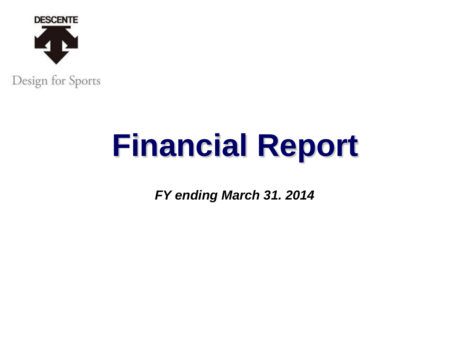

# **Financial Report**

*FY ending March 31. 2014*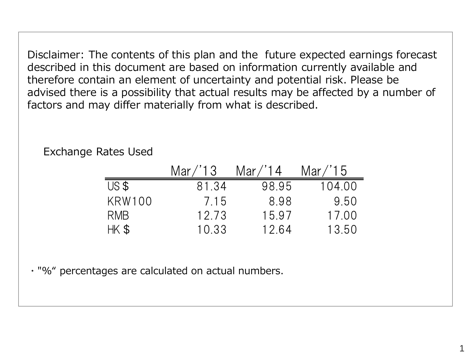Disclaimer: The contents of this plan and the future expected earnings forecast described in this document are based on information currently available and therefore contain an element of uncertainty and potential risk. Please be advised there is a possibility that actual results may be affected by a number of factors and may differ materially from what is described.

|               | Mar/13 | Mar $/$ 14 | Mar / 15 |
|---------------|--------|------------|----------|
| USS           | 81.34  | 98.95      | 104.00   |
| <b>KRW100</b> | 7.15   | 8.98       | 9.50     |
| RMB           | 12.73  | 15.97      | 17.00    |
| HK \$         | 10 33  | 12.64      | 13.50    |

Exchange Rates Used

・"%" percentages are calculated on actual numbers.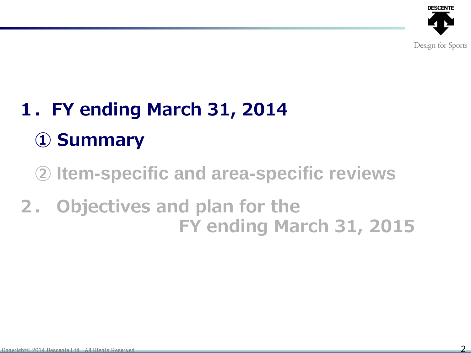

## 1.FY ending March 31, 2014 ① Summary

② **Item-specific and area-specific reviews**

### 2. Objectives and plan for the FY ending March 31, 2015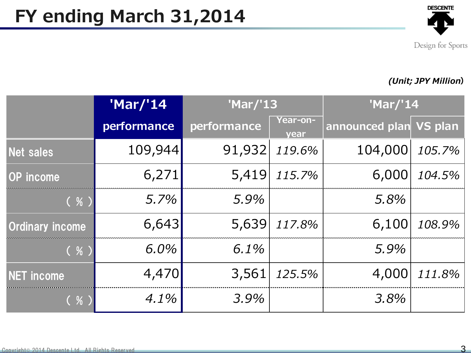

#### (Unit; JPY Million)

|                        | 'Mar/'14    | 'Mar/'13    |                         | 'Mar/'14               |        |
|------------------------|-------------|-------------|-------------------------|------------------------|--------|
|                        | performance | performance | <u>Year-on-</u><br>year | announced plan VS plan |        |
| Net sales              | 109,944     | 91,932      | 119.6%                  | 104,000                | 105.7% |
| <b>OP</b> income       | 6,271       | 5,419       | 115.7%                  | 6,000                  | 104.5% |
| ( %)                   | 5.7%        | 5.9%        |                         | 5.8%                   |        |
| <b>Ordinary income</b> | 6,643       | 5,639       | 117.8%                  | 6,100                  | 108.9% |
| ( % )                  | 6.0%        | 6.1%        |                         | 5.9%                   |        |
| <b>NET income</b>      | 4,470       | 3,561       | 125.5%                  | 4,000                  | 111.8% |
| ( % )                  | $4.1\%$     | 3.9%        |                         | 3.8%                   |        |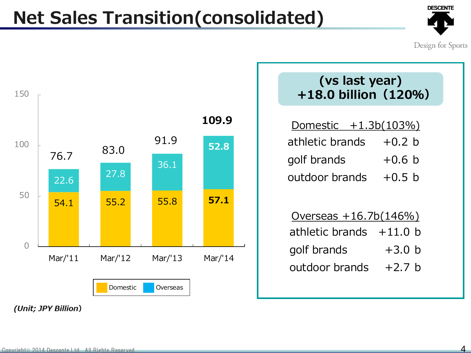### Net Sales Transition(consolidated)



Design for Sports

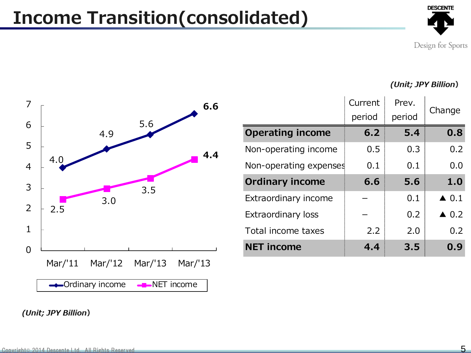### Income Transition(consolidated)



Design for Sports

(Unit; JPY Billion)



<sup>(</sup>Unit; JPY Billion)

|                           | Current<br>period | Prev.<br>period | Change          |
|---------------------------|-------------------|-----------------|-----------------|
| <b>Operating income</b>   | 6.2               | 5.4             | 0.8             |
| Non-operating income      | 0.5               | 0.3             | 0.2             |
| Non-operating expenses    | 0.1               | 0.1             | 0.0             |
| <b>Ordinary income</b>    | 6.6               | 5.6             | 1.0             |
| Extraordinary income      |                   | 0.1             | $\triangle$ 0.1 |
| <b>Extraordinary loss</b> |                   | 0.2             | $\triangle$ 0.2 |
| Total income taxes        | 2.2               | 2.0             | 0.2             |
| <b>NET income</b>         | 4.4               | 3.5             | 0.9             |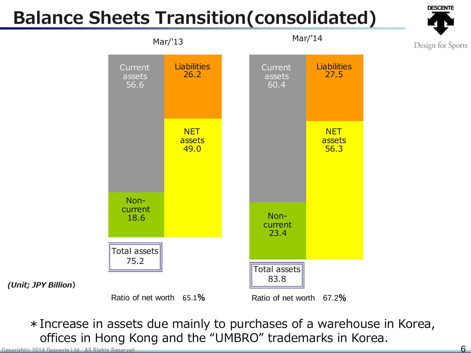### Balance Sheets Transition(consolidated)



Design for Sports



\*Increase in assets due mainly to purchases of a warehouse in Korea, offices in Hong Kong and the "UMBRO" trademarks in Korea.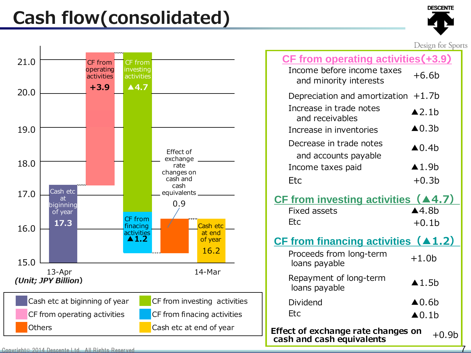### Cash flow(consolidated)



7



|                                                                 | Design for Sports                    |  |
|-----------------------------------------------------------------|--------------------------------------|--|
| <b>CF from operating activities (+3.9)</b>                      |                                      |  |
| Income before income taxes<br>and minority interests            | $+6.6b$                              |  |
| Depreciation and amortization $+1.7$ b                          |                                      |  |
| Increase in trade notes<br>and receivables                      | $\triangle$ 2.1b                     |  |
| Increase in inventories                                         | $\triangle$ 0.3b                     |  |
| Decrease in trade notes<br>and accounts payable                 | $\triangle$ 0.4b                     |  |
| Income taxes paid                                               | $\blacktriangle$ 1.9b                |  |
| Etc                                                             | $+0.3b$                              |  |
| CF from investing activities $(A4.7)$                           |                                      |  |
| <b>Fixed assets</b>                                             | $\triangle$ 4.8b                     |  |
| <b>Etc</b>                                                      | $+0.1b$                              |  |
| <u>CF from financing activities (▲1.2)</u>                      |                                      |  |
| Proceeds from long-term<br>loans payable                        | $+1.0b$                              |  |
| Repayment of long-term<br>loans payable                         | $\triangle$ 1.5b                     |  |
| Dividend<br>Etc                                                 | $\triangle$ 0.6b<br>$\triangle$ 0.1b |  |
|                                                                 |                                      |  |
| Effect of exchange rate changes on<br>cash and cash equivalents | $+0.9b$                              |  |

Copyright© 2014 Descente Ltd. All Rights Reserved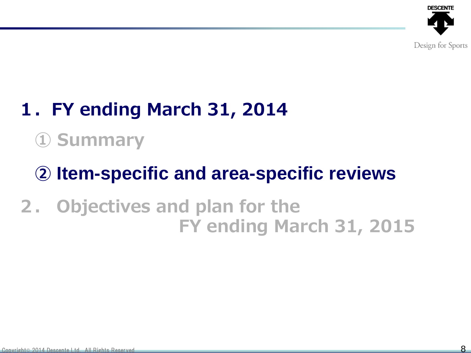

## 1.FY ending March 31, 2014

## ① Summary

## ② **Item-specific and area-specific reviews**

### 2. Objectives and plan for the FY ending March 31, 2015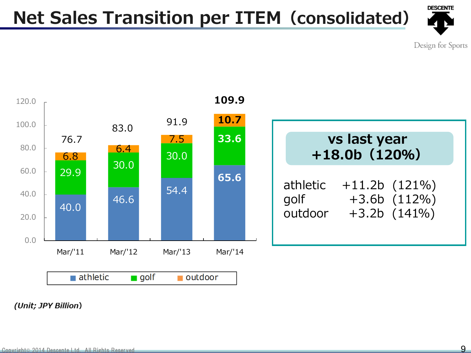### Net Sales Transition per ITEM(consolidated)



Design for Sports



<sup>(</sup>Unit; JPY Billion)

9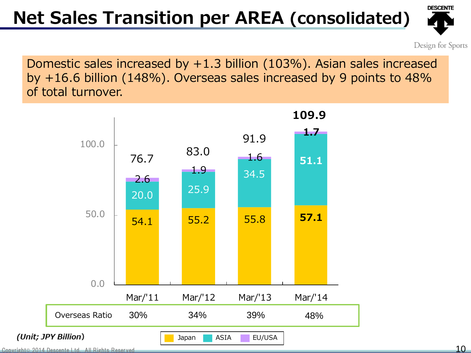### Net Sales Transition per AREA (consolidated)



Design for Sports

Domestic sales increased by +1.3 billion (103%). Asian sales increased by +16.6 billion (148%). Overseas sales increased by 9 points to 48% of total turnover.



Copyright© 2014 Descente Ltd. All Rights Reserved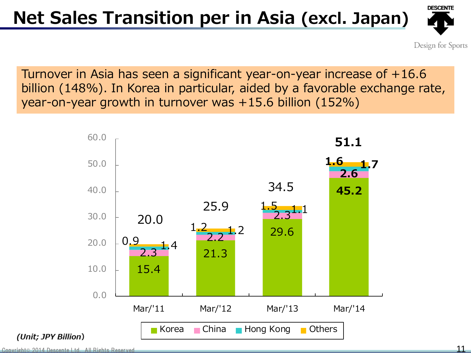#### Net Sales Transition per in Asia (excl. Japan)



Design for Sports

Turnover in Asia has seen a significant year-on-year increase of +16.6 billion (148%). In Korea in particular, aided by a favorable exchange rate, year-on-year growth in turnover was +15.6 billion (152%)

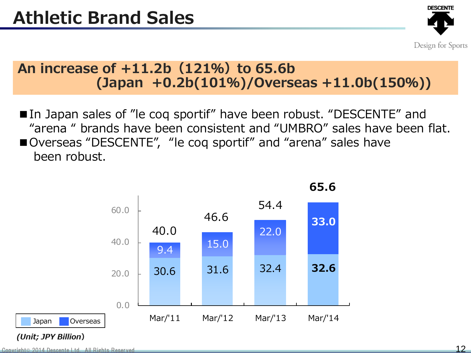

#### An increase of  $+11.2b(121%)$  to 65.6b (Japan +0.2b(101%)/Overseas +11.0b(150%))

■In Japan sales of "le coq sportif" have been robust. "DESCENTE" and "arena " brands have been consistent and "UMBRO" sales have been flat. ■Overseas "DESCENTE", "le coq sportif" and "arena" sales have been robust.

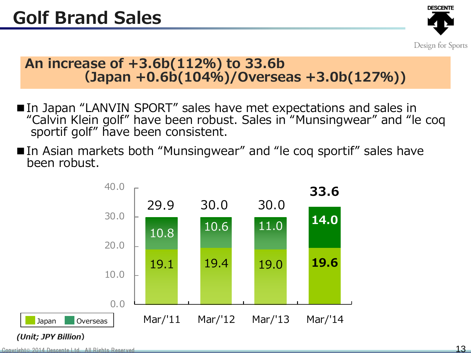

#### An increase of +3.6b(112%) to 33.6b (Japan +0.6b(104%)/Overseas +3.0b(127%))

- ■In Japan "LANVIN SPORT" sales have met expectations and sales in "Calvin Klein golf" have been robust. Sales in "Munsingwear" and "le coq sportif golf" have been consistent.
- ■In Asian markets both "Munsingwear" and "le coq sportif" sales have been robust.

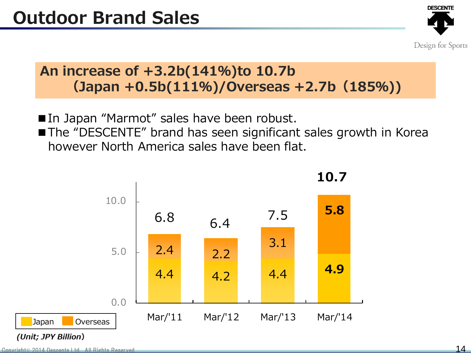

#### An increase of +3.2b(141%)to 10.7b (Japan +0.5b(111%)/Overseas +2.7b(185%))

- ■In Japan "Marmot" sales have been robust.
- The "DESCENTE" brand has seen significant sales growth in Korea however North America sales have been flat.

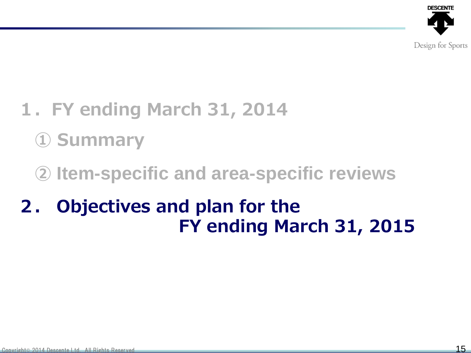

- 1.FY ending March 31, 2014
	- ① Summary
	- ② **Item-specific and area-specific reviews**
- 2. Objectives and plan for the FY ending March 31, 2015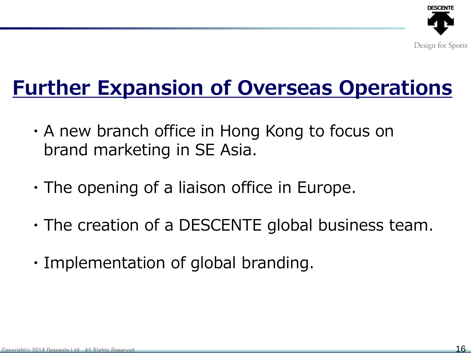

## Further Expansion of Overseas Operations

- ・A new branch office in Hong Kong to focus on brand marketing in SE Asia.
- ・The opening of a liaison office in Europe.
- ・The creation of a DESCENTE global business team.
- ・Implementation of global branding.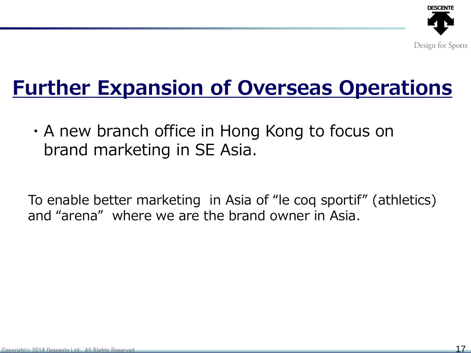

## Further Expansion of Overseas Operations

・A new branch office in Hong Kong to focus on brand marketing in SE Asia.

To enable better marketing in Asia of "le coq sportif" (athletics) and "arena" where we are the brand owner in Asia.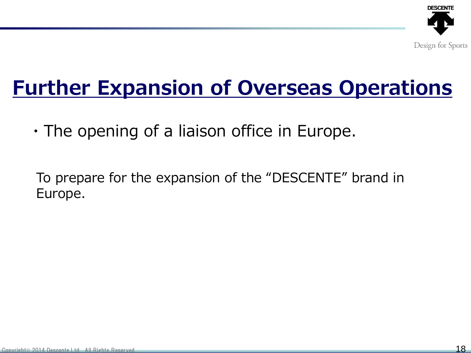

## Further Expansion of Overseas Operations

・The opening of a liaison office in Europe.

To prepare for the expansion of the "DESCENTE" brand in Europe.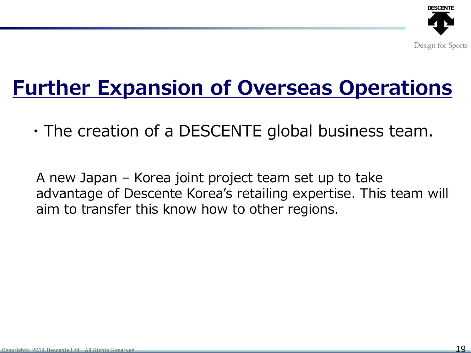

## Further Expansion of Overseas Operations

 $\cdot$  The creation of a DESCENTE global business team.

A new Japan – Korea joint project team set up to take advantage of Descente Korea's retailing expertise. This team will aim to transfer this know how to other regions.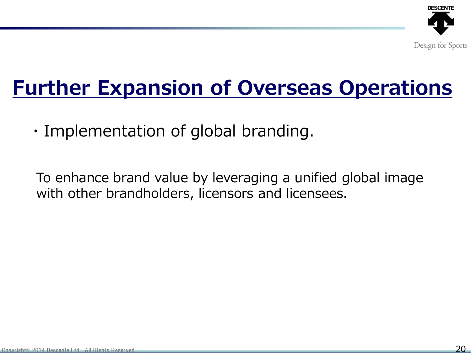

## Further Expansion of Overseas Operations

・Implementation of global branding.

To enhance brand value by leveraging a unified global image with other brandholders, licensors and licensees.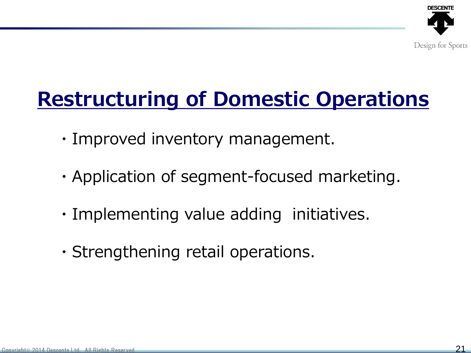

- ・Improved inventory management.
- ・Application of segment-focused marketing.
- ・Implementing value adding initiatives.
- ・Strengthening retail operations.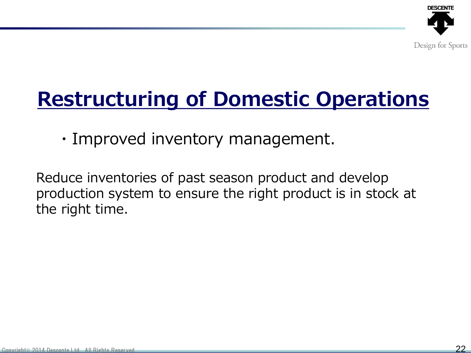

・Improved inventory management.

Reduce inventories of past season product and develop production system to ensure the right product is in stock at the right time.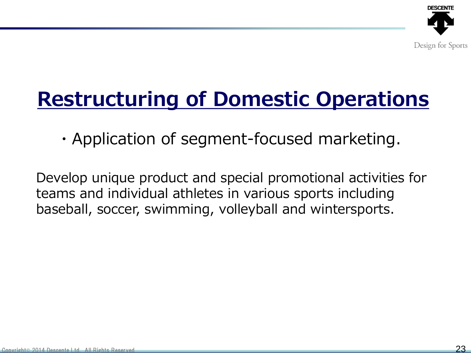

・Application of segment-focused marketing.

Develop unique product and special promotional activities for teams and individual athletes in various sports including baseball, soccer, swimming, volleyball and wintersports.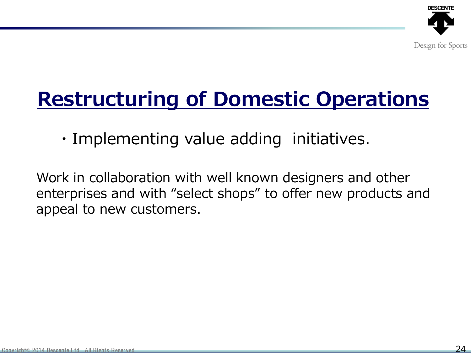

・Implementing value adding initiatives.

Work in collaboration with well known designers and other enterprises and with "select shops" to offer new products and appeal to new customers.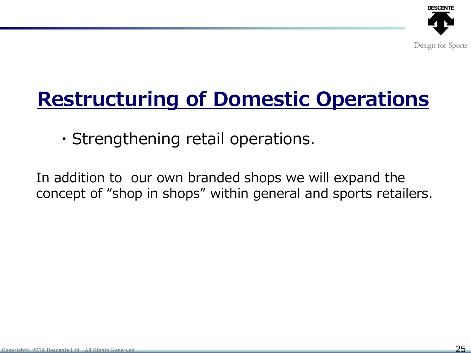

・Strengthening retail operations.

In addition to our own branded shops we will expand the concept of "shop in shops" within general and sports retailers.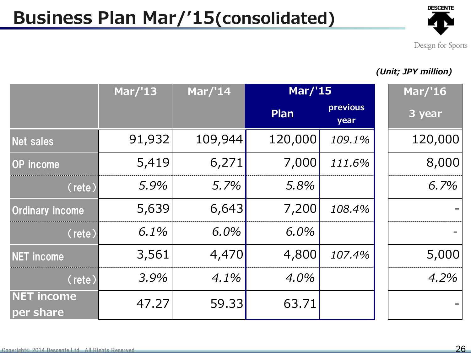#### Business Plan Mar/'15(consolidated)



Design for Sports

#### (Unit; JPY million)

|                                | <b>Mar/'13</b> | <b>Mar/'14</b> | <b>Mar/'15</b> |                  | Mar/'16 |
|--------------------------------|----------------|----------------|----------------|------------------|---------|
|                                |                |                | Plan           | previous<br>year | 3 year  |
| Net sales                      | 91,932         | 109,944        | 120,000        | 109.1%           | 120,000 |
| <b>OP</b> income               | 5,419          | 6,271          | 7,000          | 111.6%           | 8,000   |
| $(\text{rete})$                | 5.9%           | 5.7%           | 5.8%           |                  | 6.7%    |
| <b>Ordinary income</b>         | 5,639          | 6,643          | 7,200          | 108.4%           |         |
| $(\text{rete})$                | 6.1%           | 6.0%           | 6.0%           |                  |         |
| <b>NET</b> income              | 3,561          | 4,470          | 4,800          | 107.4%           | 5,000   |
| (rete)                         | 3.9%           | 4.1%           | 4.0%           |                  | 4.2%    |
| <b>NET income</b><br>per share | 47.27          | 59.33          | 63.71          |                  |         |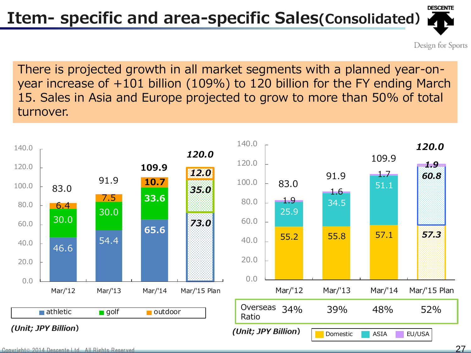## Item- specific and area-specific Sales(Consolidated)

Design for Sports

There is projected growth in all market segments with a planned year-onyear increase of +101 billion (109%) to 120 billion for the FY ending March 15. Sales in Asia and Europe projected to grow to more than 50% of total turnover.

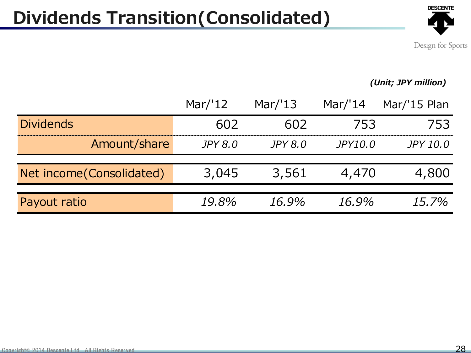### Dividends Transition(Consolidated)



Design for Sports

#### (Unit; JPY million)

|                           | Mar/'12        | Mar/ $'13$     | Mar/'14        | Mar/'15 Plan |
|---------------------------|----------------|----------------|----------------|--------------|
| <b>Dividends</b>          | 602            | 602            | 753            | 753          |
| Amount/share              | <i>JPY 8.0</i> | <i>JPY 8.0</i> | <i>JPY10.0</i> | JPY 10.0     |
| Net income (Consolidated) | 3,045          | 3,561          | 4,470          | 4,800        |
| Payout ratio              | 19,8%          | 16.9%          | 16.9%          | 15.7%        |